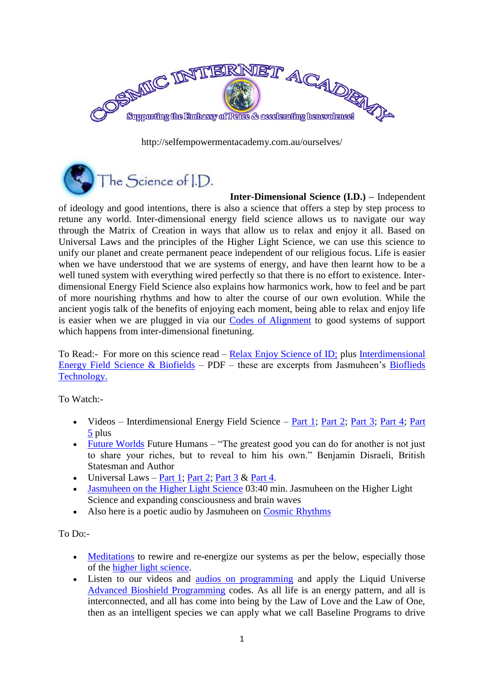

http://selfempowermentacademy.com.au/ourselves/



**Inter-Dimensional Science (I.D.) –** Independent of ideology and good intentions, there is also a science that offers a step by step process to retune any world. Inter-dimensional energy field science allows us to navigate our way through the Matrix of Creation in ways that allow us to relax and enjoy it all. Based on Universal Laws and the principles of the Higher Light Science, we can use this science to unify our planet and create permanent peace independent of our religious focus. Life is easier when we have understood that we are systems of energy, and have then learnt how to be a well tuned system with everything wired perfectly so that there is no effort to existence. Interdimensional Energy Field Science also explains how harmonics work, how to feel and be part of more nourishing rhythms and how to alter the course of our own evolution. While the ancient yogis talk of the benefits of enjoying each moment, being able to relax and enjoy life is easier when we are plugged in via our [Codes of Alignment](http://selfempowermentacademy.com.au/ourselves/#codes-of-alignment) to good systems of support which happens from inter-dimensional finetuning.

To Read:- For more on this science read – [Relax Enjoy Science of ID;](http://selfempowermentacademy.com.au/wp-content/uploads/2011/06/Relax-Enjoy-Science-of-ID.pdf) plus [Interdimensional](http://selfempowermentacademy.com.au/wp-content/uploads/2011/06/OS-Energy-Field-Science-Biofields.pdf)  Energy Field Science  $& Biofields - PDF - these are excerpts from Jasmuheen's Biofields$ [Technology.](http://www.jasmuheen.com/products-page/biofield-technology/)

To Watch:-

- Videos Interdimensional Energy Field Science  $Part 1$ ; [Part 2;](http://www.youtube.com/watch?v=zW9pCBUrLRc) [Part 3;](http://www.youtube.com/watch?v=45JZ2Jo-lEg) [Part 4;](http://www.youtube.com/watch?v=34sUqUh0gns) Part [5](http://www.youtube.com/jasmuheen#p/c/9CEB4F49B912118E/2/mp_m0A5iH4Q) plus
- [Future Worlds](http://www.youtube.com/jasmuheen#p/c/9CEB4F49B912118E/2/mp_m0A5iH4Q) Future Humans "The greatest good you can do for another is not just to share your riches, but to reveal to him his own." Benjamin Disraeli, British Statesman and Author
- Universal Laws [Part 1;](http://www.youtube.com/jasmuheen#p/c/9CEB4F49B912118E/4/SBtPRW9AhQc) [Part 2;](http://www.youtube.com/jasmuheen#p/c/9CEB4F49B912118E/5/5U7db-rPQZY) [Part 3](http://www.youtube.com/jasmuheen#p/c/9CEB4F49B912118E/6/4Kmfb6C2MQs) & [Part 4.](http://www.youtube.com/jasmuheen#p/c/9CEB4F49B912118E/7/vnh8zAJMU_4)
- [Jasmuheen on the Higher Light Science](http://youtube.com/watch?v=sLgwDBR2EpU&feature=PlayList&p=11A4648FB505B995&index=2) 03:40 min. Jasmuheen on the Higher Light Science and expanding consciousness and brain waves
- Also here is a poetic audio by Jasmuheen on [Cosmic Rhythms](http://selfempowermentacademy.com.au/wp-content/uploads/2011/06/06-CD-3-10-Cosmic-Rhythms.mp3)

## To Do:-

- [Meditations](http://selfempowermentacademy.com.au/ourselves/#meditations) to rewire and re-energize our systems as per the below, especially those of the [higher light science.](http://selfempowermentacademy.com.au/ourselves/#meditations-light-science)
- Listen to our videos and [audios on programming](http://www.jasmuheen.com/products-page/audio-books/programming-new-paradigms/) and apply the Liquid Universe [Advanced Bioshield Programming](http://www.jasmuheen.com/products-page/cds-mp3s/liquid-universe-advanced-bioshield-programming-discourse-meditation/) codes. As all life is an energy pattern, and all is interconnected, and all has come into being by the Law of Love and the Law of One, then as an intelligent species we can apply what we call Baseline Programs to drive